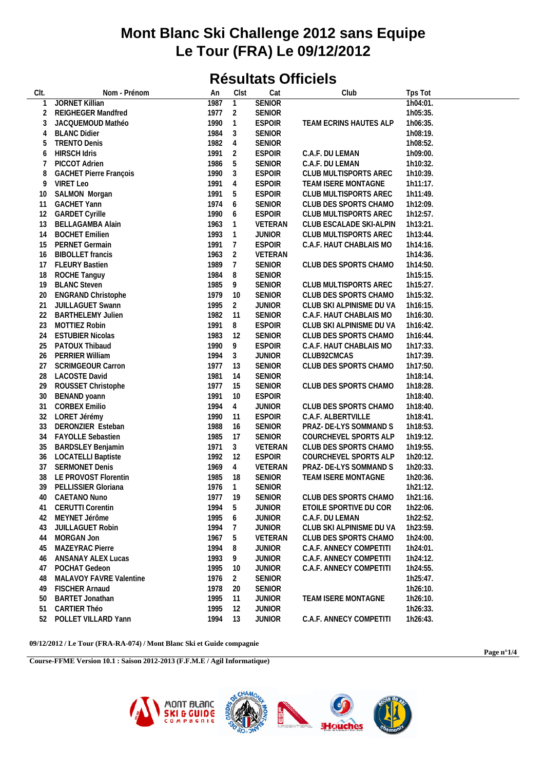## **Mont Blanc Ski Challenge 2012 sans Equipe Le Tour (FRA) Le 09/12/2012**

## **Résultats Officiels**

| CIt. | Nom - Prénom                  | An      | Clst            | Cat           | Club                                              | Tps Tot  |
|------|-------------------------------|---------|-----------------|---------------|---------------------------------------------------|----------|
|      | <b>JORNET Killian</b>         | 1987    | $\overline{1}$  | <b>SENIOR</b> |                                                   | 1h04:01. |
| 2    | REIGHEGER Mandfred            | 1977    | 2               | <b>SENIOR</b> |                                                   | 1h05:35. |
| 3    | JACQUEMOUD Mathéo             | 1990    | 1               | <b>ESPOIR</b> | TEAM ECRINS HAUTES ALP                            | 1h06:35. |
| 4    | <b>BLANC Didier</b>           | 1984    | 3               | <b>SENIOR</b> |                                                   | 1h08:19. |
| 5    | <b>TRENTO Denis</b>           | 1982    | $\overline{4}$  | <b>SENIOR</b> |                                                   | 1h08:52. |
| 6    | <b>HIRSCH Idris</b>           | 1991    | 2               | <b>ESPOIR</b> | C.A.F. DU LEMAN                                   | 1h09:00. |
| 7    | PICCOT Adrien                 | 1986    | 5               | <b>SENIOR</b> | C.A.F. DU LEMAN                                   | 1h10:32. |
| 8    | <b>GACHET Pierre François</b> | 1990    | 3               | <b>ESPOIR</b> | CLUB MULTISPORTS AREC                             | 1h10:39. |
| 9    | <b>VIRET Leo</b>              | 1991    | $\overline{4}$  | <b>ESPOIR</b> | TEAM ISERE MONTAGNE                               | 1h11:17. |
| 10   | SALMON Morgan                 | 1991    | 5               | <b>ESPOIR</b> | CLUB MULTISPORTS AREC                             | 1h11:49. |
| 11   | <b>GACHET Yann</b>            | 1974    | 6               | <b>SENIOR</b> | CLUB DES SPORTS CHAMO                             | 1h12:09. |
| 12   | <b>GARDET Cyrille</b>         | 1990    | 6               | <b>ESPOIR</b> | CLUB MULTISPORTS AREC                             | 1h12:57. |
| 13   | <b>BELLAGAMBA Alain</b>       | 1963    | $\overline{1}$  | VETERAN       | CLUB ESCALADE SKI-ALPIN                           | 1h13:21. |
| 14   | <b>BOCHET Emilien</b>         | 1993    | $\overline{1}$  | <b>JUNIOR</b> | CLUB MULTISPORTS AREC                             | 1h13:44. |
| 15   | PERNET Germain                | 1991    | $7\overline{ }$ | <b>ESPOIR</b> | C.A.F. HAUT CHABLAIS MO                           | 1h14:16. |
| 16   | <b>BIBOLLET</b> francis       | 1963    | 2               | VETERAN       |                                                   | 1h14:36. |
| 17   | <b>FLEURY Bastien</b>         | 1989    | 7               | <b>SENIOR</b> | CLUB DES SPORTS CHAMO                             | 1h14:50. |
| 18   | ROCHE Tanguy                  | 1984    | 8               | <b>SENIOR</b> |                                                   | 1h15:15. |
| 19   | <b>BLANC Steven</b>           | 1985    | 9               | <b>SENIOR</b> | CLUB MULTISPORTS AREC                             | 1h15:27. |
| 20   | ENGRAND Christophe            | 1979    | 10              | <b>SENIOR</b> | CLUB DES SPORTS CHAMO                             | 1h15:32. |
| 21   | JUILLAGUET Swann              | 1995    | $\overline{2}$  | <b>JUNIOR</b> | CLUB SKI ALPINISME DU VA                          | 1h16:15. |
| 22   | <b>BARTHELEMY Julien</b>      | 1982    | 11              | <b>SENIOR</b> | C.A.F. HAUT CHABLAIS MO                           | 1h16:30. |
| 23   | MOTTIEZ Robin                 | 1991    | 8               | <b>ESPOIR</b> |                                                   | 1h16:42. |
| 24   | <b>ESTUBIER Nicolas</b>       | 1983    | 12              | <b>SENIOR</b> | CLUB SKI ALPINISME DU VA<br>CLUB DES SPORTS CHAMO |          |
|      |                               |         | 9               | <b>ESPOIR</b> |                                                   | 1h16:44. |
| 25   | PATOUX Thibaud                | 1990    |                 |               | C.A.F. HAUT CHABLAIS MO                           | 1h17:33. |
| 26   | PERRIER William               | 1994    | 3               | <b>JUNIOR</b> | CLUB92CMCAS                                       | 1h17:39. |
| 27   | <b>SCRIMGEOUR Carron</b>      | 1977    | 13              | <b>SENIOR</b> | CLUB DES SPORTS CHAMO                             | 1h17:50. |
| 28   | <b>LACOSTE David</b>          | 1981    | 14              | <b>SENIOR</b> |                                                   | 1h18:14. |
| 29   | ROUSSET Christophe            | 1977    | 15              | <b>SENIOR</b> | CLUB DES SPORTS CHAMO                             | 1h18:28. |
| 30   | BENAND yoann                  | 1991    | 10              | <b>ESPOIR</b> |                                                   | 1h18:40. |
| 31   | <b>CORBEX Emilio</b>          | 1994    | $\overline{4}$  | <b>JUNIOR</b> | CLUB DES SPORTS CHAMO                             | 1h18:40. |
| 32   | LORET Jérémy                  | 1990    | 11              | <b>ESPOIR</b> | C.A.F. ALBERTVILLE                                | 1h18:41. |
| 33   | DERONZIER Esteban             | 1988    | 16              | <b>SENIOR</b> | PRAZ- DE-LYS SOMMAND S                            | 1h18:53. |
| 34   | FAYOLLE Sebastien             | 1985    | 17              | SENIOR        | COURCHEVEL SPORTS ALP                             | 1h19:12. |
| 35   | <b>BARDSLEY Benjamin</b>      | 1971    | 3               | VETERAN       | CLUB DES SPORTS CHAMO                             | 1h19:55. |
| 36   | <b>LOCATELLI Baptiste</b>     | 1992    | 12              | <b>ESPOIR</b> | COURCHEVEL SPORTS ALP                             | 1h20:12. |
| 37   | <b>SERMONET Denis</b>         | 1969    | $\overline{4}$  | VETERAN       | PRAZ- DE-LYS SOMMAND S                            | 1h20:33. |
| 38   | LE PROVOST Florentin          | 1985    | 18              | SENIOR        | TEAM ISERE MONTAGNE                               | 1h20:36. |
| 39   | PELLISSIER Gloriana           | 1976    | $\overline{1}$  | <b>SENIOR</b> |                                                   | 1h21:12. |
|      | 40 CAETANO Nuno               | 1977 19 |                 | <b>SENIOR</b> | CLUB DES SPORTS CHAMO                             | 1h21:16. |
| 41   | <b>CERUTTI Corentin</b>       | 1994    | 5               | <b>JUNIOR</b> | ETOILE SPORTIVE DU COR                            | 1h22:06. |
| 42   | MEYNET Jérôme                 | 1995    | 6               | <b>JUNIOR</b> | C.A.F. DU LEMAN                                   | 1h22:52. |
| 43   | <b>JUILLAGUET Robin</b>       | 1994    | 7               | <b>JUNIOR</b> | CLUB SKI ALPINISME DU VA                          | 1h23:59. |
| 44   | MORGAN Jon                    | 1967    | 5               | VETERAN       | CLUB DES SPORTS CHAMO                             | 1h24:00. |
| 45   | <b>MAZEYRAC Pierre</b>        | 1994    | 8               | <b>JUNIOR</b> | C.A.F. ANNECY COMPETITI                           | 1h24:01. |
| 46   | <b>ANSANAY ALEX Lucas</b>     | 1993    | 9               | <b>JUNIOR</b> | C.A.F. ANNECY COMPETITI                           | 1h24:12. |
| 47   | POCHAT Gedeon                 | 1995    | 10              | <b>JUNIOR</b> | C.A.F. ANNECY COMPETITI                           | 1h24:55. |
| 48   | MALAVOY FAVRE Valentine       | 1976    | 2               | <b>SENIOR</b> |                                                   | 1h25:47. |
| 49   | FISCHER Arnaud                | 1978    | 20              | <b>SENIOR</b> |                                                   | 1h26:10. |
| 50   | <b>BARTET Jonathan</b>        | 1995    | 11              | <b>JUNIOR</b> | <b>TEAM ISERE MONTAGNE</b>                        | 1h26:10. |
| 51   | CARTIER Théo                  | 1995    | 12              | <b>JUNIOR</b> |                                                   | 1h26:33. |
| 52   | POLLET VILLARD Yann           | 1994    | 13              | <b>JUNIOR</b> | C.A.F. ANNECY COMPETITI                           | 1h26:43. |
|      |                               |         |                 |               |                                                   |          |

**09/12/2012 / Le Tour (FRA-RA-074) / Mont Blanc Ski et Guide compagnie**

**Course-FFME Version 10.1 : Saison 2012-2013 (F.F.M.E / Agil Informatique)**



**Page n°1/4**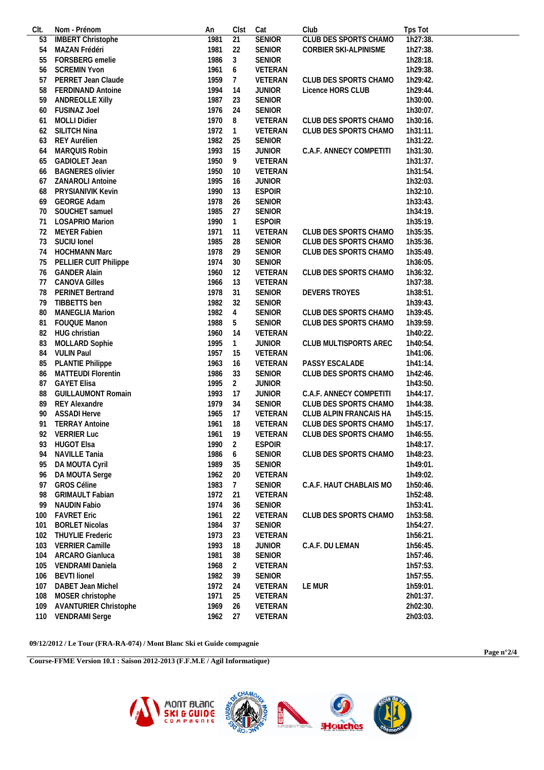| CIt. | Nom - Prénom                 | An   | Clst            | Cat            | Club                    | Tps Tot  |
|------|------------------------------|------|-----------------|----------------|-------------------------|----------|
| 53   | <b>IMBERT Christophe</b>     | 1981 | $\overline{21}$ | <b>SENIOR</b>  | CLUB DES SPORTS CHAMO   | 1h27:38. |
| 54   | MAZAN Frédéri                | 1981 | 22              | <b>SENIOR</b>  | CORBIER SKI-ALPINISME   | 1h27:38. |
| 55   | FORSBERG emelie              | 1986 | 3               | <b>SENIOR</b>  |                         | 1h28:18. |
| 56   | <b>SCREMIN Yvon</b>          | 1961 | 6               | VETERAN        |                         | 1h29:38. |
| 57   | PERRET Jean Claude           | 1959 | $7\overline{ }$ | VETERAN        | CLUB DES SPORTS CHAMO   | 1h29:42. |
| 58   | <b>FERDINAND Antoine</b>     | 1994 | 14              | <b>JUNIOR</b>  | Licence HORS CLUB       | 1h29:44. |
| 59   | <b>ANDREOLLE Xilly</b>       | 1987 | 23              | <b>SENIOR</b>  |                         | 1h30:00. |
| 60   | <b>FUSINAZ Joel</b>          | 1976 | 24              | <b>SENIOR</b>  |                         | 1h30:07. |
| 61   | <b>MOLLI Didier</b>          | 1970 | 8               |                | CLUB DES SPORTS CHAMO   | 1h30:16. |
|      |                              |      |                 | VETERAN        |                         |          |
| 62   | SILITCH Nina                 | 1972 | $\overline{1}$  | VETERAN        | CLUB DES SPORTS CHAMO   | 1h31:11. |
| 63   | REY Aurélien                 | 1982 | 25              | <b>SENIOR</b>  |                         | 1h31:22. |
| 64   | MARQUIS Robin                | 1993 | 15              | <b>JUNIOR</b>  | C.A.F. ANNECY COMPETITI | 1h31:30. |
| 65   | GADIOLET Jean                | 1950 | 9               | VETERAN        |                         | 1h31:37. |
| 66   | <b>BAGNERES olivier</b>      | 1950 | 10              | VETERAN        |                         | 1h31:54. |
| 67   | ZANAROLI Antoine             | 1995 | 16              | <b>JUNIOR</b>  |                         | 1h32:03. |
| 68   | PRYSIANIVIK Kevin            | 1990 | 13              | <b>ESPOIR</b>  |                         | 1h32:10. |
| 69   | <b>GEORGE Adam</b>           | 1978 | 26              | <b>SENIOR</b>  |                         | 1h33:43. |
| 70   | SOUCHET samuel               | 1985 | 27              | <b>SENIOR</b>  |                         | 1h34:19. |
| 71   | LOSAPRIO Marion              | 1990 | $\overline{1}$  | <b>ESPOIR</b>  |                         | 1h35:19. |
| 72   | MEYER Fabien                 | 1971 | 11              | <b>VETERAN</b> | CLUB DES SPORTS CHAMO   | 1h35:35. |
| 73   | SUCIU Ionel                  | 1985 | 28              | <b>SENIOR</b>  | CLUB DES SPORTS CHAMO   | 1h35:36. |
| 74   | <b>HOCHMANN Marc</b>         | 1978 | 29              | SENIOR         | CLUB DES SPORTS CHAMO   | 1h35:49. |
| 75   |                              | 1974 | 30              | <b>SENIOR</b>  |                         | 1h36:05. |
|      | PELLIER CUIT Philippe        |      |                 |                |                         |          |
| 76   | <b>GANDER Alain</b>          | 1960 | 12              | VETERAN        | CLUB DES SPORTS CHAMO   | 1h36:32. |
| 77   | <b>CANOVA Gilles</b>         | 1966 | 13              | VETERAN        |                         | 1h37:38. |
| 78   | PERINET Bertrand             | 1978 | 31              | <b>SENIOR</b>  | DEVERS TROYES           | 1h38:51. |
| 79   | TIBBETTS ben                 | 1982 | 32              | <b>SENIOR</b>  |                         | 1h39:43. |
| 80   | <b>MANEGLIA Marion</b>       | 1982 | $\overline{4}$  | <b>SENIOR</b>  | CLUB DES SPORTS CHAMO   | 1h39:45. |
| 81   | FOUQUE Manon                 | 1988 | 5               | <b>SENIOR</b>  | CLUB DES SPORTS CHAMO   | 1h39:59. |
| 82   | HUG christian                | 1960 | 14              | VETERAN        |                         | 1h40:22. |
| 83   | <b>MOLLARD Sophie</b>        | 1995 | $\overline{1}$  | <b>JUNIOR</b>  | CLUB MULTISPORTS AREC   | 1h40:54. |
| 84   | <b>VULIN Paul</b>            | 1957 | 15              | VETERAN        |                         | 1h41:06. |
| 85   | PLANTIE Philippe             | 1963 | 16              | VETERAN        | PASSY ESCALADE          | 1h41:14. |
| 86   | <b>MATTEUDI Florentin</b>    | 1986 | 33              | <b>SENIOR</b>  | CLUB DES SPORTS CHAMO   | 1h42:46. |
| 87   | <b>GAYET Elisa</b>           | 1995 | $\overline{2}$  | <b>JUNIOR</b>  |                         | 1h43:50. |
| 88   | <b>GUILLAUMONT Romain</b>    | 1993 | 17              | <b>JUNIOR</b>  | C.A.F. ANNECY COMPETITI | 1h44:17. |
| 89   | REY Alexandre                | 1979 | 34              | <b>SENIOR</b>  | CLUB DES SPORTS CHAMO   | 1h44:38. |
|      |                              |      |                 |                |                         |          |
| 90   | <b>ASSADI Herve</b>          | 1965 | 17              | VETERAN        | CLUB ALPIN FRANCAIS HA  | 1h45:15. |
| 91   | <b>TERRAY Antoine</b>        | 1961 | 18              | VETERAN        | CLUB DES SPORTS CHAMO   | 1h45:17. |
|      | 92 VERRIER Luc               | 1961 | 19              | VETERAN        | CLUB DES SPORTS CHAMO   | 1h46:55. |
| 93   | <b>HUGOT Elsa</b>            | 1990 | $\overline{2}$  | <b>ESPOIR</b>  |                         | 1h48:17. |
| 94   | NAVILLE Tania                | 1986 | 6               | <b>SENIOR</b>  | CLUB DES SPORTS CHAMO   | 1h48:23. |
| 95   | DA MOUTA Cyril               | 1989 | 35              | <b>SENIOR</b>  |                         | 1h49:01. |
| 96   | DA MOUTA Serge               | 1962 | 20              | VETERAN        |                         | 1h49:02. |
| 97   | <b>GROS Céline</b>           | 1983 | 7               | <b>SENIOR</b>  | C.A.F. HAUT CHABLAIS MO | 1h50:46. |
| 98   | <b>GRIMAULT Fabian</b>       | 1972 | 21              | VETERAN        |                         | 1h52:48. |
| 99   | <b>NAUDIN Fabio</b>          | 1974 | 36              | <b>SENIOR</b>  |                         | 1h53:41. |
| 100  | <b>FAVRET Eric</b>           | 1961 | 22              | VETERAN        | CLUB DES SPORTS CHAMO   | 1h53:58. |
| 101  | <b>BORLET Nicolas</b>        | 1984 | 37              | <b>SENIOR</b>  |                         | 1h54:27. |
| 102  | <b>THUYLIE Frederic</b>      | 1973 | 23              | VETERAN        |                         | 1h56:21. |
| 103  | <b>VERRIER Camille</b>       | 1993 | 18              | <b>JUNIOR</b>  | C.A.F. DU LEMAN         | 1h56:45. |
|      |                              |      |                 |                |                         |          |
| 104  | ARCARO Gianluca              | 1981 | 38              | <b>SENIOR</b>  |                         | 1h57:46. |
| 105  | VENDRAMI Daniela             | 1968 | 2               | VETERAN        |                         | 1h57:53. |
| 106  | <b>BEVTI lionel</b>          | 1982 | 39              | <b>SENIOR</b>  |                         | 1h57:55. |
| 107  | DABET Jean Michel            | 1972 | 24              | VETERAN        | LE MUR                  | 1h59:01. |
| 108  | MOSER christophe             | 1971 | 25              | VETERAN        |                         | 2h01:37. |
| 109  | <b>AVANTURIER Christophe</b> | 1969 | 26              | VETERAN        |                         | 2h02:30. |
| 110  | <b>VENDRAMI</b> Serge        | 1962 | 27              | VETERAN        |                         | 2h03:03. |
|      |                              |      |                 |                |                         |          |

## **09/12/2012 / Le Tour (FRA-RA-074) / Mont Blanc Ski et Guide compagnie**

**Course-FFME Version 10.1 : Saison 2012-2013 (F.F.M.E / Agil Informatique)**



**Page n°2/4**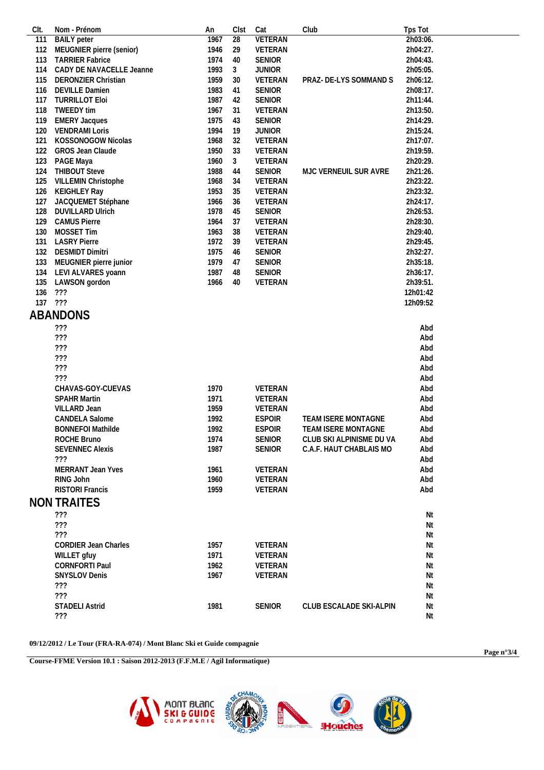| CIt. | Nom - Prénom                | An   | Clst            | Cat            | Club                     | Tps Tot  |
|------|-----------------------------|------|-----------------|----------------|--------------------------|----------|
| 111  | <b>BAILY</b> peter          | 1967 | $\overline{28}$ | <b>VETERAN</b> |                          | 2h03:06. |
| 112  | MEUGNIER pierre (senior)    | 1946 | 29              | VETERAN        |                          | 2h04:27. |
| 113  | <b>TARRIER Fabrice</b>      | 1974 | 40              | <b>SENIOR</b>  |                          | 2h04:43. |
| 114  | CADY DE NAVACELLE Jeanne    | 1993 | 3               | <b>JUNIOR</b>  |                          | 2h05:05. |
| 115  | DERONZIER Christian         | 1959 | 30              | VETERAN        | PRAZ- DE-LYS SOMMAND S   | 2h06:12. |
| 116  | <b>DEVILLE Damien</b>       | 1983 | 41              | <b>SENIOR</b>  |                          | 2h08:17. |
| 117  | <b>TURRILLOT Eloi</b>       | 1987 | 42              | <b>SENIOR</b>  |                          | 2h11:44. |
| 118  | TWEEDY tim                  | 1967 | 31              | VETERAN        |                          | 2h13:50. |
| 119  | <b>EMERY Jacques</b>        | 1975 | 43              | <b>SENIOR</b>  |                          | 2h14:29. |
| 120  | <b>VENDRAMI Loris</b>       | 1994 | 19              | <b>JUNIOR</b>  |                          | 2h15:24. |
| 121  | KOSSONOGOW Nicolas          | 1968 | 32              | VETERAN        |                          | 2h17:07. |
| 122  | GROS Jean Claude            | 1950 | 33              | VETERAN        |                          | 2h19:59. |
| 123  | PAGE Maya                   | 1960 | $\mathfrak{Z}$  | VETERAN        |                          | 2h20:29. |
| 124  | <b>THIBOUT Steve</b>        | 1988 | 44              | SENIOR         | MJC VERNEUIL SUR AVRE    | 2h21:26. |
| 125  | VILLEMIN Christophe         | 1968 | 34              | VETERAN        |                          | 2h23:22. |
| 126  | <b>KEIGHLEY Ray</b>         | 1953 | 35              | VETERAN        |                          | 2h23:32. |
| 127  | JACQUEMET Stéphane          | 1966 | 36              | VETERAN        |                          | 2h24:17. |
| 128  | <b>DUVILLARD Ulrich</b>     | 1978 | 45              | SENIOR         |                          | 2h26:53. |
| 129  | <b>CAMUS Pierre</b>         | 1964 | 37              | VETERAN        |                          | 2h28:30. |
| 130  | MOSSET Tim                  | 1963 | 38              | VETERAN        |                          | 2h29:40. |
| 131  | <b>LASRY Pierre</b>         | 1972 | 39              | VETERAN        |                          | 2h29:45. |
|      |                             |      |                 |                |                          |          |
| 132  | <b>DESMIDT Dimitri</b>      | 1975 | 46              | <b>SENIOR</b>  |                          | 2h32:27. |
| 133  | MEUGNIER pierre junior      | 1979 | 47              | <b>SENIOR</b>  |                          | 2h35:18. |
| 134  | LEVI ALVARES yoann          | 1987 | 48              | SENIOR         |                          | 2h36:17. |
| 135  | LAWSON gordon               | 1966 | 40              | VETERAN        |                          | 2h39:51. |
| 136  | 722                         |      |                 |                |                          | 12h01:42 |
| 137  | ???                         |      |                 |                |                          | 12h09:52 |
|      | ABANDONS                    |      |                 |                |                          |          |
|      | ???                         |      |                 |                |                          | Abd      |
|      | ???                         |      |                 |                |                          | Abd      |
|      | ???                         |      |                 |                |                          | Abd      |
|      | ???                         |      |                 |                |                          | Abd      |
|      | ???                         |      |                 |                |                          | Abd      |
|      | ???                         |      |                 |                |                          | Abd      |
|      |                             | 1970 |                 | VETERAN        |                          | Abd      |
|      | CHAVAS-GOY-CUEVAS           |      |                 |                |                          |          |
|      | <b>SPAHR Martin</b>         | 1971 |                 | VETERAN        |                          | Abd      |
|      | VILLARD Jean                | 1959 |                 | VETERAN        |                          | Abd      |
|      | CANDELA Salome              | 1992 |                 | <b>ESPOIR</b>  | TEAM ISERE MONTAGNE      | Abd      |
|      | <b>BONNEFOI Mathilde</b>    | 1992 |                 | <b>ESPOIR</b>  | TEAM ISERE MONTAGNE      | Abd      |
|      | ROCHE Bruno                 | 1974 |                 | <b>SENIOR</b>  | CLUB SKI ALPINISME DU VA | Abd      |
|      | <b>SEVENNEC Alexis</b>      | 1987 |                 | <b>SENIOR</b>  | C.A.F. HAUT CHABLAIS MO  | Abd      |
|      | ???                         |      |                 |                |                          | Abd      |
|      | MERRANT Jean Yves           | 1961 |                 | VETERAN        |                          | Abd      |
|      | RING John                   | 1960 |                 | VETERAN        |                          | Abd      |
|      | <b>RISTORI Francis</b>      | 1959 |                 | VETERAN        |                          | Abd      |
|      | <b>NON TRAITES</b>          |      |                 |                |                          |          |
|      |                             |      |                 |                |                          |          |
|      | $?$ ??                      |      |                 |                |                          | Nt       |
|      | ???                         |      |                 |                |                          | Nt       |
|      | ???                         |      |                 |                |                          | Nt       |
|      | <b>CORDIER Jean Charles</b> | 1957 |                 | VETERAN        |                          | Nt       |
|      | WILLET gfuy                 | 1971 |                 | VETERAN        |                          | Nt       |
|      | <b>CORNFORTI Paul</b>       | 1962 |                 | VETERAN        |                          | Nt       |
|      | SNYSLOV Denis               | 1967 |                 | VETERAN        |                          | Nt       |
|      | ???                         |      |                 |                |                          | Nt       |
|      | ???                         |      |                 |                |                          | Nt       |
|      | <b>STADELI Astrid</b>       | 1981 |                 | <b>SENIOR</b>  | CLUB ESCALADE SKI-ALPIN  | Nt       |
|      | ???                         |      |                 |                |                          | Nt       |
|      |                             |      |                 |                |                          |          |

**09/12/2012 / Le Tour (FRA-RA-074) / Mont Blanc Ski et Guide compagnie**

**Course-FFME Version 10.1 : Saison 2012-2013 (F.F.M.E / Agil Informatique)**



**Page n°3/4**